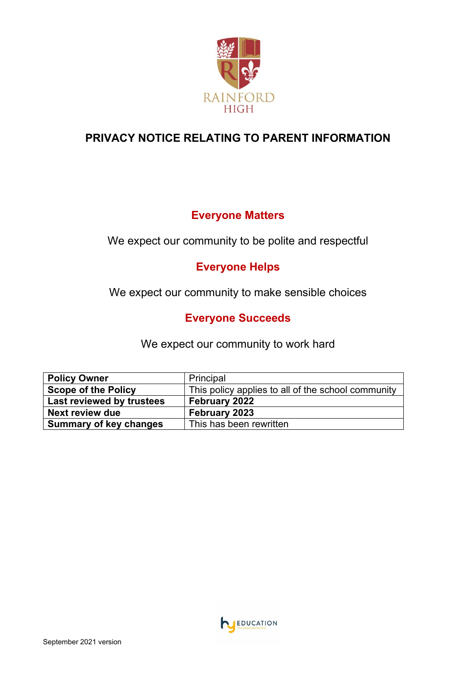

# **PRIVACY NOTICE RELATING TO PARENT INFORMATION**

## **Everyone Matters**

We expect our community to be polite and respectful

# **Everyone Helps**

We expect our community to make sensible choices

# **Everyone Succeeds**

We expect our community to work hard

| <b>Policy Owner</b>           | Principal                                          |
|-------------------------------|----------------------------------------------------|
| <b>Scope of the Policy</b>    | This policy applies to all of the school community |
| Last reviewed by trustees     | February 2022                                      |
| Next review due               | February 2023                                      |
| <b>Summary of key changes</b> | This has been rewritten                            |

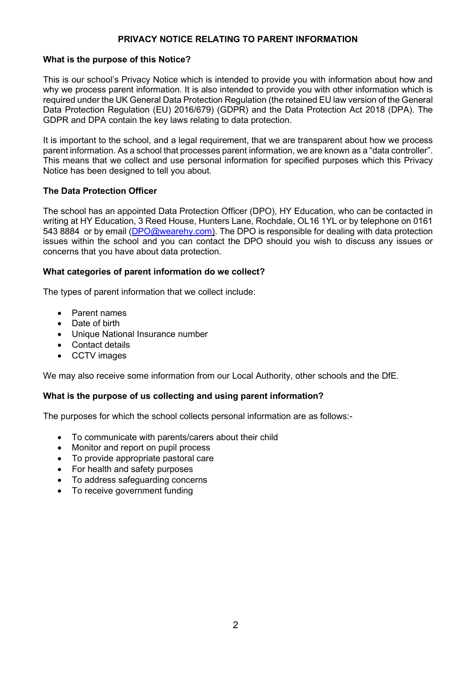## **PRIVACY NOTICE RELATING TO PARENT INFORMATION**

### **What is the purpose of this Notice?**

This is our school's Privacy Notice which is intended to provide you with information about how and why we process parent information. It is also intended to provide you with other information which is required under the UK General Data Protection Regulation (the retained EU law version of the General Data Protection Regulation (EU) 2016/679) (GDPR) and the Data Protection Act 2018 (DPA). The GDPR and DPA contain the key laws relating to data protection.

It is important to the school, and a legal requirement, that we are transparent about how we process parent information. As a school that processes parent information, we are known as a "data controller". This means that we collect and use personal information for specified purposes which this Privacy Notice has been designed to tell you about.

## **The Data Protection Officer**

The school has an appointed Data Protection Officer (DPO), HY Education, who can be contacted in writing at HY Education, 3 Reed House, Hunters Lane, Rochdale, OL16 1YL or by telephone on 0161 543 8884 or by email [\(DPO@wearehy.com\)](mailto:DPO@wearehy.com). The DPO is responsible for dealing with data protection issues within the school and you can contact the DPO should you wish to discuss any issues or concerns that you have about data protection.

## **What categories of parent information do we collect?**

The types of parent information that we collect include:

- Parent names
- Date of birth
- Unique National Insurance number
- Contact details
- CCTV images

We may also receive some information from our Local Authority, other schools and the DfE.

## **What is the purpose of us collecting and using parent information?**

The purposes for which the school collects personal information are as follows:-

- To communicate with parents/carers about their child
- Monitor and report on pupil process
- To provide appropriate pastoral care
- For health and safety purposes
- To address safeguarding concerns
- To receive government funding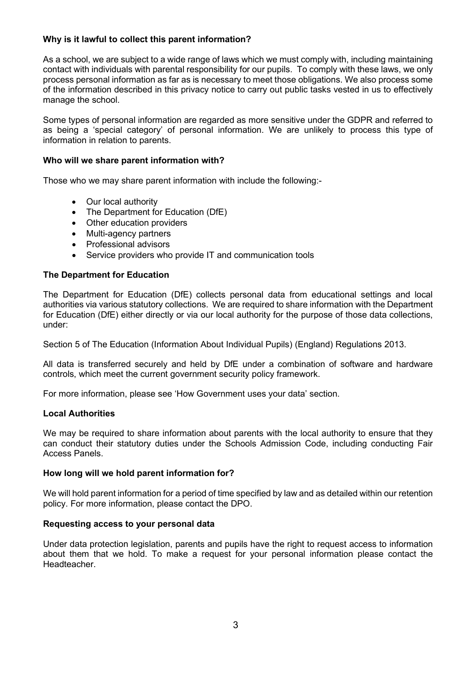## **Why is it lawful to collect this parent information?**

As a school, we are subject to a wide range of laws which we must comply with, including maintaining contact with individuals with parental responsibility for our pupils. To comply with these laws, we only process personal information as far as is necessary to meet those obligations. We also process some of the information described in this privacy notice to carry out public tasks vested in us to effectively manage the school.

Some types of personal information are regarded as more sensitive under the GDPR and referred to as being a 'special category' of personal information. We are unlikely to process this type of information in relation to parents.

## **Who will we share parent information with?**

Those who we may share parent information with include the following:-

- Our local authority
- The Department for Education (DfE)
- Other education providers
- Multi-agency partners
- Professional advisors
- Service providers who provide IT and communication tools

## **The Department for Education**

The Department for Education (DfE) collects personal data from educational settings and local authorities via various statutory collections. We are required to share information with the Department for Education (DfE) either directly or via our local authority for the purpose of those data collections, under:

Section 5 of The Education (Information About Individual Pupils) (England) Regulations 2013.

All data is transferred securely and held by DfE under a combination of software and hardware controls, which meet the current government security policy framework.

For more information, please see 'How Government uses your data' section.

## **Local Authorities**

We may be required to share information about parents with the local authority to ensure that they can conduct their statutory duties under the Schools Admission Code, including conducting Fair Access Panels.

## **How long will we hold parent information for?**

We will hold parent information for a period of time specified by law and as detailed within our retention policy. For more information, please contact the DPO.

## **Requesting access to your personal data**

Under data protection legislation, parents and pupils have the right to request access to information about them that we hold. To make a request for your personal information please contact the Headteacher.